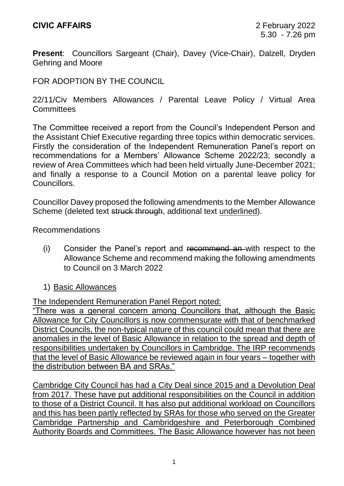**Present**: Councillors Sargeant (Chair), Davey (Vice-Chair), Dalzell, Dryden Gehring and Moore

## FOR ADOPTION BY THE COUNCIL

22/11/Civ Members Allowances / Parental Leave Policy / Virtual Area **Committees** 

The Committee received a report from the Council's Independent Person and the Assistant Chief Executive regarding three topics within democratic services. Firstly the consideration of the Independent Remuneration Panel's report on recommendations for a Members' Allowance Scheme 2022/23; secondly a review of Area Committees which had been held virtually June-December 2021; and finally a response to a Council Motion on a parental leave policy for **Councillors** 

Councillor Davey proposed the following amendments to the Member Allowance Scheme (deleted text struck through, additional text underlined).

Recommendations

- (i) Consider the Panel's report and recommend an with respect to the Allowance Scheme and recommend making the following amendments to Council on 3 March 2022
- 1) Basic Allowances

The Independent Remuneration Panel Report noted:

"There was a general concern among Councillors that, although the Basic Allowance for City Councillors is now commensurate with that of benchmarked District Councils, the non-typical nature of this council could mean that there are anomalies in the level of Basic Allowance in relation to the spread and depth of responsibilities undertaken by Councillors in Cambridge. The IRP recommends that the level of Basic Allowance be reviewed again in four years – together with the distribution between BA and SRAs."

Cambridge City Council has had a City Deal since 2015 and a Devolution Deal from 2017. These have put additional responsibilities on the Council in addition to those of a District Council. It has also put additional workload on Councillors and this has been partly reflected by SRAs for those who served on the Greater Cambridge Partnership and Cambridgeshire and Peterborough Combined Authority Boards and Committees. The Basic Allowance however has not been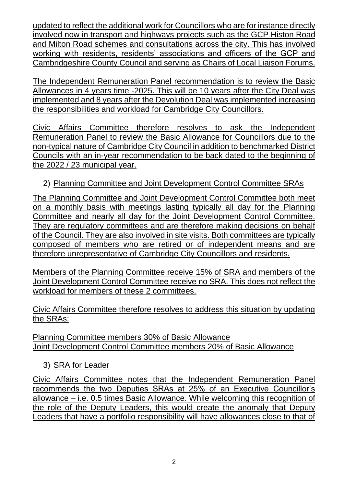updated to reflect the additional work for Councillors who are for instance directly involved now in transport and highways projects such as the GCP Histon Road and Milton Road schemes and consultations across the city. This has involved working with residents, residents' associations and officers of the GCP and Cambridgeshire County Council and serving as Chairs of Local Liaison Forums.

The Independent Remuneration Panel recommendation is to review the Basic Allowances in 4 years time -2025. This will be 10 years after the City Deal was implemented and 8 years after the Devolution Deal was implemented increasing the responsibilities and workload for Cambridge City Councillors.

Civic Affairs Committee therefore resolves to ask the Independent Remuneration Panel to review the Basic Allowance for Councillors due to the non-typical nature of Cambridge City Council in addition to benchmarked District Councils with an in-year recommendation to be back dated to the beginning of the 2022 / 23 municipal year.

## 2) Planning Committee and Joint Development Control Committee SRAs

The Planning Committee and Joint Development Control Committee both meet on a monthly basis with meetings lasting typically all day for the Planning Committee and nearly all day for the Joint Development Control Committee. They are regulatory committees and are therefore making decisions on behalf of the Council. They are also involved in site visits. Both committees are typically composed of members who are retired or of independent means and are therefore unrepresentative of Cambridge City Councillors and residents.

Members of the Planning Committee receive 15% of SRA and members of the Joint Development Control Committee receive no SRA. This does not reflect the workload for members of these 2 committees.

Civic Affairs Committee therefore resolves to address this situation by updating the SRAs:

Planning Committee members 30% of Basic Allowance Joint Development Control Committee members 20% of Basic Allowance

## 3) SRA for Leader

Civic Affairs Committee notes that the Independent Remuneration Panel recommends the two Deputies SRAs at 25% of an Executive Councillor's allowance – i.e. 0.5 times Basic Allowance. While welcoming this recognition of the role of the Deputy Leaders, this would create the anomaly that Deputy Leaders that have a portfolio responsibility will have allowances close to that of